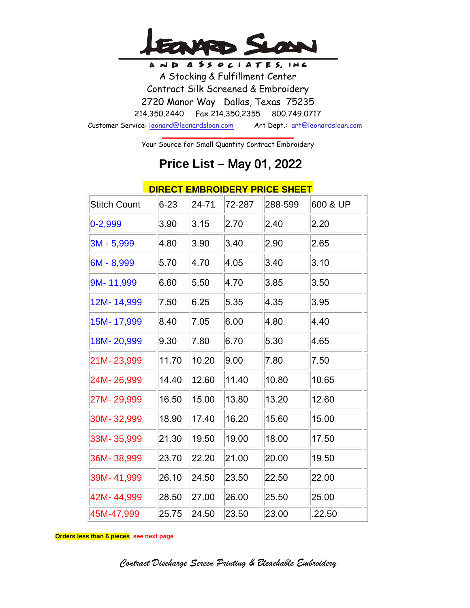

AND ASSOCIATES, INC A Stocking & Fulfillment Center Contract Silk Screened & Embroidery 2720 Manor Way Dallas, Texas 75235 214.350.2440 Fax 214.350.2355 800.749.0717 Customer Service: leonard@leonardsloan.com Art Dept.: art@leonardsloan.com

> \_\_\_\_\_\_\_\_\_\_\_\_\_\_ \_\_\_\_\_\_\_\_\_\_\_\_\_\_\_\_ Your Source for Small Quantity Contract Embroidery

## **Price List –** May 01, 2022

|                     |          |           |        | <u>DIRECT EMBROIDERY PRICE SHEET</u> |          |
|---------------------|----------|-----------|--------|--------------------------------------|----------|
| <b>Stitch Count</b> | $6 - 23$ | $24 - 71$ | 72-287 | 288-599                              | 600 & UP |
| $0 - 2,999$         | 3.90     | 3.15      | 2.70   | 2.40                                 | 2.20     |
| 3M - 5,999          | 4.80     | 3.90      | 3.40   | 2.90                                 | 2.65     |
| 6M - 8,999          | 5.70     | 4.70      | 4.05   | 3.40                                 | 3.10     |
| 9M-11,999           | 6.60     | 5.50      | 4.70   | 3.85                                 | 3.50     |
| 12M-14,999          | 7.50     | 6.25      | 5.35   | 4.35                                 | 3.95     |
| 15M-17,999          | 8.40     | 7.05      | 6.00   | 4.80                                 | 4.40     |
| 18M-20,999          | 9.30     | 7.80      | 6.70   | 5.30                                 | 4.65     |
| 21M-23,999          | 11.70    | 10.20     | 9.00   | 7.80                                 | 7.50     |
| 24M-26,999          | 14.40    | 12.60     | 11.40  | 10.80                                | 10.65    |
| 27M-29,999          | 16.50    | 15.00     | 13.80  | 13.20                                | 12.60    |
| 30M-32,999          | 18.90    | 17.40     | 16.20  | 15.60                                | 15.00    |
| 33M-35,999          | 21.30    | 19.50     | 19.00  | 18.00                                | 17.50    |
| 36M-38,999          | 23.70    | 22.20     | 21.00  | 20.00                                | 19.50    |
| 39M-41,999          | 26.10    | 24.50     | 23.50  | 22.50                                | 22.00    |
| 42M-44,999          | 28.50    | 27.00     | 26.00  | 25.50                                | 25.00    |
| 45M-47,999          | 25.75    | 24.50     | 23.50  | 23.00                                | .22.50   |

### **DIRECT EMBROIDERY PRICE SHEET**

**Orders less than 6 pieces see next page**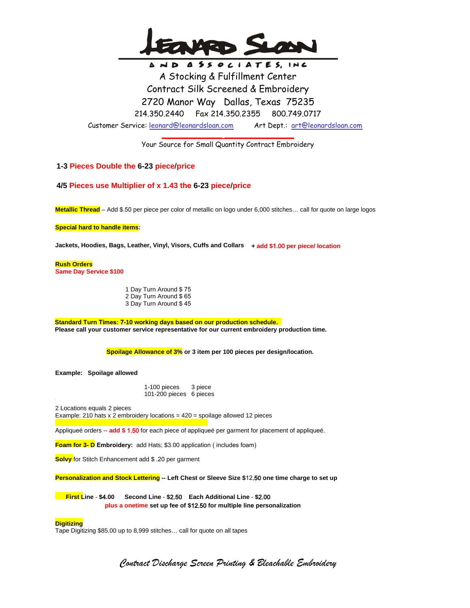

AND ASSOCIATES, INC A Stocking & Fulfillment Center Contract Silk Screened & Embroidery 2720 Manor Way Dallas, Texas 75235 214.350.2440 Fax 214.350.2355 800.749.0717 Customer Service: leonard@leonardsloan.com Art Dept.: art@leonardsloan.com

> \_\_\_\_\_\_\_\_\_\_\_\_\_\_ \_\_\_\_\_\_\_\_\_\_\_\_\_\_\_\_ Your Source for Small Quantity Contract Embroidery

### **1-3 Pieces Double the 6-23 piece/price**

**4/5 Pieces use Multiplier of x 1.43 the 6-23 piece/price** 

**Metallic Thread** – Add \$.50 per piece per color of metallic on logo under 6,000 stitches… call for quote on large logos

**Special hard to handle items:** 

**Jackets, Hoodies, Bags, Leather, Vinyl, Visors, Cuffs and Collars + add \$**1.00 **per piece/ location**

 **Rush Orders Same Day Service \$100**

> 1 Day Turn Around \$ 75 2 Day Turn Around \$ 65 3 Day Turn Around \$ 45

 **Standard Turn Times:** 7**-10 working days based on our production schedule. Please call your customer service representative for our current embroidery production time.**

**Spoilage Allowance of 3% or 3 item per 100 pieces per design/location.**

 **Example: Spoilage allowed**

1-100 pieces 3 piece 101-200 pieces 6 pieces

 2 Locations equals 2 pieces Example: 210 hats x 2 embroidery locations = 420 = spoilage allowed 12 pieces

Appliqueé orders -- **add \$** 1.50 for each piece of appliqueé per garment for placement of appliqueé.

**Foam for 3- D Embroidery:** add Hats; \$3.00 application ( includes foam)

**Solvy** for Stitch Enhancement add \$ .20 per garment

**Personalization and Stock Lettering -- Left Chest or Sleeve Size \$**12.50 **one time charge to set up**

**file First Line** - **\$**4**.00 Second Line** - **\$**2.50 **Each Additional Line** - **\$**2.00 **plus a onetime set up fee of \$**12.50 **for multiple line personalization**

#### **Digitizing**

Tape Digitizing \$85.00 up to 8,999 stitches… call for quote on all tapes

*Contract Discharge Screen Printing & Bleachable Embroidery*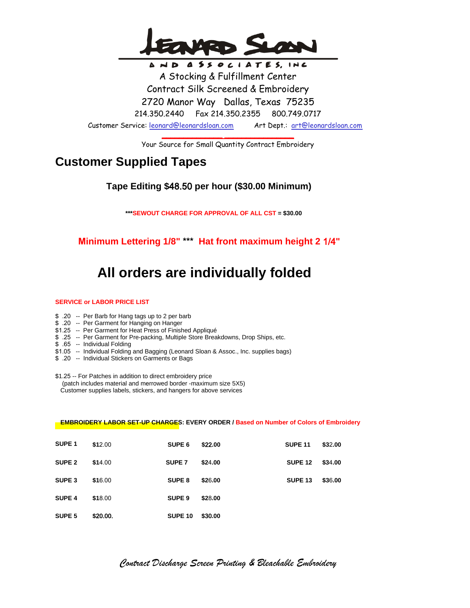

AND ASSOCIATES, INC A Stocking & Fulfillment Center Contract Silk Screened & Embroidery 2720 Manor Way Dallas, Texas 75235 214.350.2440 Fax 214.350.2355 800.749.0717 Customer Service: leonard@leonardsloan.com Art Dept.: art@leonardsloan.com

> \_\_\_\_\_\_\_\_\_\_\_\_\_\_ \_\_\_\_\_\_\_\_\_\_\_\_\_\_\_\_ Your Source for Small Quantity Contract Embroidery

### **Customer Supplied Tapes**

 **Tape Editing \$**48.50 **per hour (\$30.00 Minimum)**

 **\*\*\*SEWOUT CHARGE FOR APPROVAL OF ALL CST = \$30.00**

**Minimum Lettering 1/8" \*\*\* Hat front maximum height 2** 1/4**"**

# **All orders are individually folded**

### **SERVICE or LABOR PRICE LIST**

- \$ .20 -- Per Barb for Hang tags up to 2 per barb
- \$ .20 -- Per Garment for Hanging on Hanger
- \$ 1.25 -- Per Garment for Heat Press of Finished Appliqué
- \$ .25 -- Per Garment for Pre-packing, Multiple Store Breakdowns, Drop Ships, etc.
- \$ .65 -- Individual Folding
- \$1 .05 -- Individual Folding and Bagging (Leonard Sloan & Assoc., Inc. supplies bags)
- \$ .20 -- Individual Stickers on Garments or Bags

\$1.25 -- For Patches in addition to direct embroidery price (patch includes material and merrowed border -maximum size 5X5) Customer supplies labels, stickers, and hangers for above services

### **EMBROIDERY LABOR SET-UP CHARGES: EVERY ORDER / Based on Number of Colors of Embroidery**

| SUPE <sub>1</sub> | \$12.00  | SUPE <sub>6</sub> | \$22.00 | <b>SUPE 11</b>     | \$32.00 |
|-------------------|----------|-------------------|---------|--------------------|---------|
| <b>SUPE 2</b>     | \$14.00  | SUPE <sub>7</sub> | \$24.00 | <b>SUPE 12</b>     | \$34.00 |
| SUPE <sub>3</sub> | \$16.00  | SUPE 8            | \$26.00 | SUPE <sub>13</sub> | \$36.00 |
| <b>SUPE 4</b>     | \$18.00  | SUPE <sub>9</sub> | \$28.00 |                    |         |
| SUPE <sub>5</sub> | \$20.00. | SUPE 10           | \$30.00 |                    |         |

*Contract Discharge Screen Printing & Bleachable Embroidery*